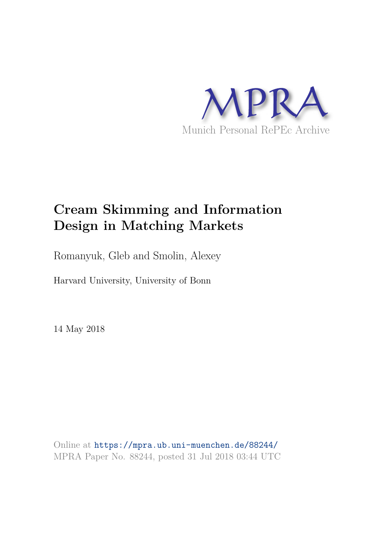

## **Cream Skimming and Information Design in Matching Markets**

Romanyuk, Gleb and Smolin, Alexey

Harvard University, University of Bonn

14 May 2018

Online at https://mpra.ub.uni-muenchen.de/88244/ MPRA Paper No. 88244, posted 31 Jul 2018 03:44 UTC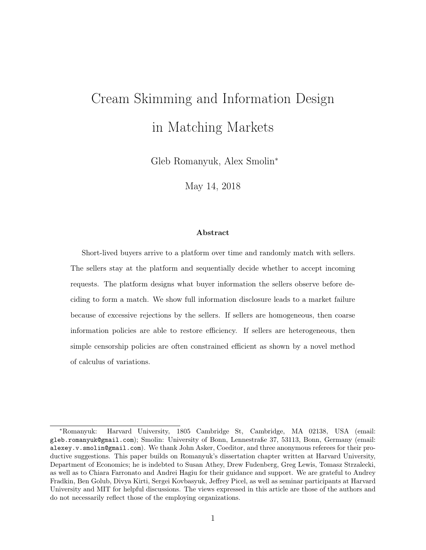# Cream Skimming and Information Design in Matching Markets

Gleb Romanyuk, Alex Smolin<sup>∗</sup>

May 14, 2018

#### Abstract

Short-lived buyers arrive to a platform over time and randomly match with sellers. The sellers stay at the platform and sequentially decide whether to accept incoming requests. The platform designs what buyer information the sellers observe before deciding to form a match. We show full information disclosure leads to a market failure because of excessive rejections by the sellers. If sellers are homogeneous, then coarse information policies are able to restore efficiency. If sellers are heterogeneous, then simple censorship policies are often constrained efficient as shown by a novel method of calculus of variations.

<sup>∗</sup>Romanyuk: Harvard University, 1805 Cambridge St, Cambridge, MA 02138, USA (email: gleb.romanyuk@gmail.com); Smolin: University of Bonn, Lennestraße 37, 53113, Bonn, Germany (email: alexey.v.smolin@gmail.com). We thank John Asker, Coeditor, and three anonymous referees for their productive suggestions. This paper builds on Romanyuk's dissertation chapter written at Harvard University, Department of Economics; he is indebted to Susan Athey, Drew Fudenberg, Greg Lewis, Tomasz Strzalecki, as well as to Chiara Farronato and Andrei Hagiu for their guidance and support. We are grateful to Andrey Fradkin, Ben Golub, Divya Kirti, Sergei Kovbasyuk, Jeffrey Picel, as well as seminar participants at Harvard University and MIT for helpful discussions. The views expressed in this article are those of the authors and do not necessarily reflect those of the employing organizations.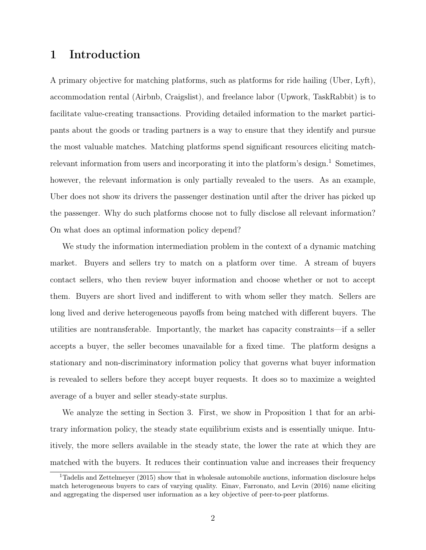## 1 Introduction

A primary objective for matching platforms, such as platforms for ride hailing (Uber, Lyft), accommodation rental (Airbnb, Craigslist), and freelance labor (Upwork, TaskRabbit) is to facilitate value-creating transactions. Providing detailed information to the market participants about the goods or trading partners is a way to ensure that they identify and pursue the most valuable matches. Matching platforms spend significant resources eliciting matchrelevant information from users and incorporating it into the platform's design.<sup>1</sup> Sometimes, however, the relevant information is only partially revealed to the users. As an example, Uber does not show its drivers the passenger destination until after the driver has picked up the passenger. Why do such platforms choose not to fully disclose all relevant information? On what does an optimal information policy depend?

We study the information intermediation problem in the context of a dynamic matching market. Buyers and sellers try to match on a platform over time. A stream of buyers contact sellers, who then review buyer information and choose whether or not to accept them. Buyers are short lived and indifferent to with whom seller they match. Sellers are long lived and derive heterogeneous payoffs from being matched with different buyers. The utilities are nontransferable. Importantly, the market has capacity constraints—if a seller accepts a buyer, the seller becomes unavailable for a fixed time. The platform designs a stationary and non-discriminatory information policy that governs what buyer information is revealed to sellers before they accept buyer requests. It does so to maximize a weighted average of a buyer and seller steady-state surplus.

We analyze the setting in Section 3. First, we show in Proposition 1 that for an arbitrary information policy, the steady state equilibrium exists and is essentially unique. Intuitively, the more sellers available in the steady state, the lower the rate at which they are matched with the buyers. It reduces their continuation value and increases their frequency

<sup>&</sup>lt;sup>1</sup>Tadelis and Zettelmeyer (2015) show that in wholesale automobile auctions, information disclosure helps match heterogeneous buyers to cars of varying quality. Einav, Farronato, and Levin (2016) name eliciting and aggregating the dispersed user information as a key objective of peer-to-peer platforms.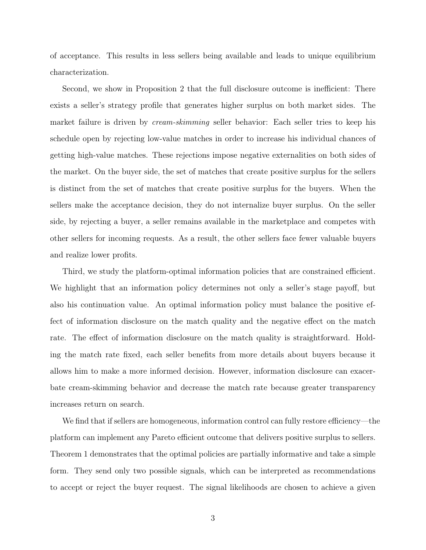of acceptance. This results in less sellers being available and leads to unique equilibrium characterization.

Second, we show in Proposition 2 that the full disclosure outcome is inefficient: There exists a seller's strategy profile that generates higher surplus on both market sides. The market failure is driven by cream-skimming seller behavior: Each seller tries to keep his schedule open by rejecting low-value matches in order to increase his individual chances of getting high-value matches. These rejections impose negative externalities on both sides of the market. On the buyer side, the set of matches that create positive surplus for the sellers is distinct from the set of matches that create positive surplus for the buyers. When the sellers make the acceptance decision, they do not internalize buyer surplus. On the seller side, by rejecting a buyer, a seller remains available in the marketplace and competes with other sellers for incoming requests. As a result, the other sellers face fewer valuable buyers and realize lower profits.

Third, we study the platform-optimal information policies that are constrained efficient. We highlight that an information policy determines not only a seller's stage payoff, but also his continuation value. An optimal information policy must balance the positive effect of information disclosure on the match quality and the negative effect on the match rate. The effect of information disclosure on the match quality is straightforward. Holding the match rate fixed, each seller benefits from more details about buyers because it allows him to make a more informed decision. However, information disclosure can exacerbate cream-skimming behavior and decrease the match rate because greater transparency increases return on search.

We find that if sellers are homogeneous, information control can fully restore efficiency—the platform can implement any Pareto efficient outcome that delivers positive surplus to sellers. Theorem 1 demonstrates that the optimal policies are partially informative and take a simple form. They send only two possible signals, which can be interpreted as recommendations to accept or reject the buyer request. The signal likelihoods are chosen to achieve a given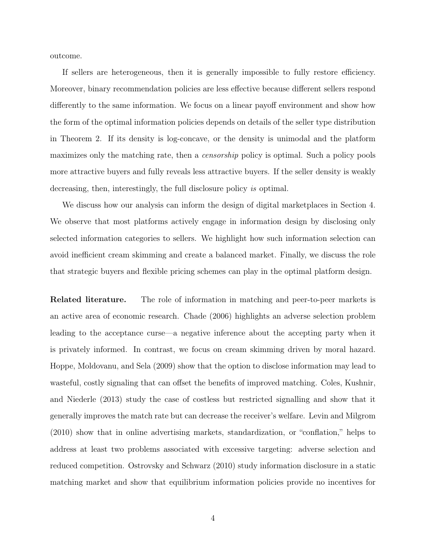outcome.

If sellers are heterogeneous, then it is generally impossible to fully restore efficiency. Moreover, binary recommendation policies are less effective because different sellers respond differently to the same information. We focus on a linear payoff environment and show how the form of the optimal information policies depends on details of the seller type distribution in Theorem 2. If its density is log-concave, or the density is unimodal and the platform maximizes only the matching rate, then a *censorship* policy is optimal. Such a policy pools more attractive buyers and fully reveals less attractive buyers. If the seller density is weakly decreasing, then, interestingly, the full disclosure policy is optimal.

We discuss how our analysis can inform the design of digital marketplaces in Section 4. We observe that most platforms actively engage in information design by disclosing only selected information categories to sellers. We highlight how such information selection can avoid inefficient cream skimming and create a balanced market. Finally, we discuss the role that strategic buyers and flexible pricing schemes can play in the optimal platform design.

Related literature. The role of information in matching and peer-to-peer markets is an active area of economic research. Chade (2006) highlights an adverse selection problem leading to the acceptance curse—a negative inference about the accepting party when it is privately informed. In contrast, we focus on cream skimming driven by moral hazard. Hoppe, Moldovanu, and Sela (2009) show that the option to disclose information may lead to wasteful, costly signaling that can offset the benefits of improved matching. Coles, Kushnir, and Niederle (2013) study the case of costless but restricted signalling and show that it generally improves the match rate but can decrease the receiver's welfare. Levin and Milgrom (2010) show that in online advertising markets, standardization, or "conflation," helps to address at least two problems associated with excessive targeting: adverse selection and reduced competition. Ostrovsky and Schwarz (2010) study information disclosure in a static matching market and show that equilibrium information policies provide no incentives for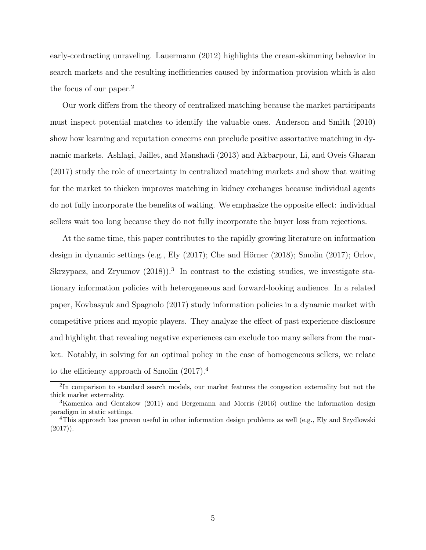early-contracting unraveling. Lauermann (2012) highlights the cream-skimming behavior in search markets and the resulting inefficiencies caused by information provision which is also the focus of our paper.<sup>2</sup>

Our work differs from the theory of centralized matching because the market participants must inspect potential matches to identify the valuable ones. Anderson and Smith (2010) show how learning and reputation concerns can preclude positive assortative matching in dynamic markets. Ashlagi, Jaillet, and Manshadi (2013) and Akbarpour, Li, and Oveis Gharan (2017) study the role of uncertainty in centralized matching markets and show that waiting for the market to thicken improves matching in kidney exchanges because individual agents do not fully incorporate the benefits of waiting. We emphasize the opposite effect: individual sellers wait too long because they do not fully incorporate the buyer loss from rejections.

At the same time, this paper contributes to the rapidly growing literature on information design in dynamic settings (e.g., Ely (2017); Che and Hörner (2018); Smolin (2017); Orlov, Skrzypacz, and Zryumov  $(2018)$ .<sup>3</sup> In contrast to the existing studies, we investigate stationary information policies with heterogeneous and forward-looking audience. In a related paper, Kovbasyuk and Spagnolo (2017) study information policies in a dynamic market with competitive prices and myopic players. They analyze the effect of past experience disclosure and highlight that revealing negative experiences can exclude too many sellers from the market. Notably, in solving for an optimal policy in the case of homogeneous sellers, we relate to the efficiency approach of Smolin (2017).<sup>4</sup>

<sup>&</sup>lt;sup>2</sup>In comparison to standard search models, our market features the congestion externality but not the thick market externality.

<sup>3</sup>Kamenica and Gentzkow (2011) and Bergemann and Morris (2016) outline the information design paradigm in static settings.

<sup>&</sup>lt;sup>4</sup>This approach has proven useful in other information design problems as well (e.g., Ely and Szydlowski  $(2017)$ .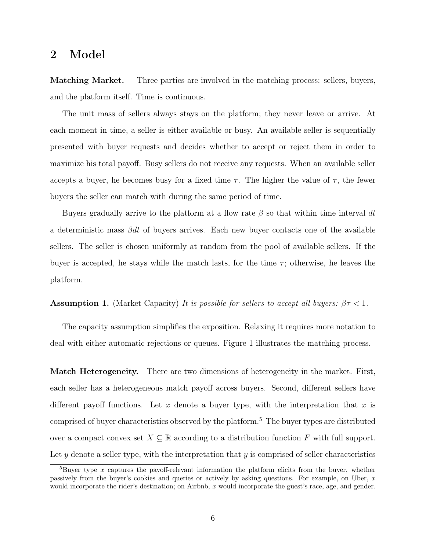## 2 Model

**Matching Market.** Three parties are involved in the matching process: sellers, buyers, and the platform itself. Time is continuous.

The unit mass of sellers always stays on the platform; they never leave or arrive. At each moment in time, a seller is either available or busy. An available seller is sequentially presented with buyer requests and decides whether to accept or reject them in order to maximize his total payoff. Busy sellers do not receive any requests. When an available seller accepts a buyer, he becomes busy for a fixed time  $\tau$ . The higher the value of  $\tau$ , the fewer buyers the seller can match with during the same period of time.

Buyers gradually arrive to the platform at a flow rate  $\beta$  so that within time interval dt a deterministic mass  $\beta dt$  of buyers arrives. Each new buyer contacts one of the available sellers. The seller is chosen uniformly at random from the pool of available sellers. If the buyer is accepted, he stays while the match lasts, for the time  $\tau$ ; otherwise, he leaves the platform.

#### **Assumption 1.** (Market Capacity) It is possible for sellers to accept all buyers:  $\beta \tau < 1$ .

The capacity assumption simplifies the exposition. Relaxing it requires more notation to deal with either automatic rejections or queues. Figure 1 illustrates the matching process.

Match Heterogeneity. There are two dimensions of heterogeneity in the market. First, each seller has a heterogeneous match payoff across buyers. Second, different sellers have different payoff functions. Let x denote a buyer type, with the interpretation that x is comprised of buyer characteristics observed by the platform.<sup>5</sup> The buyer types are distributed over a compact convex set  $X \subseteq \mathbb{R}$  according to a distribution function F with full support. Let y denote a seller type, with the interpretation that y is comprised of seller characteristics

<sup>&</sup>lt;sup>5</sup>Buyer type x captures the payoff-relevant information the platform elicits from the buyer, whether passively from the buyer's cookies and queries or actively by asking questions. For example, on Uber, x would incorporate the rider's destination; on Airbnb, x would incorporate the guest's race, age, and gender.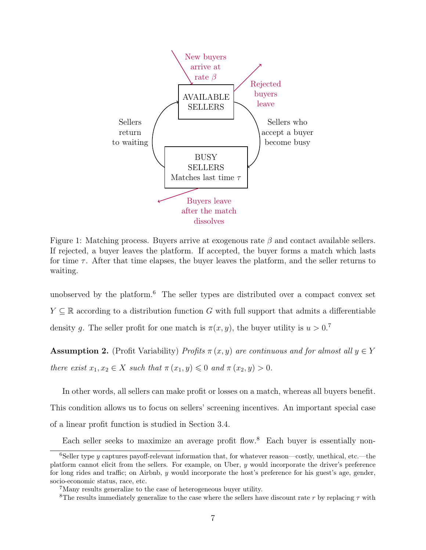

Figure 1: Matching process. Buyers arrive at exogenous rate  $\beta$  and contact available sellers. If rejected, a buyer leaves the platform. If accepted, the buyer forms a match which lasts for time  $\tau$ . After that time elapses, the buyer leaves the platform, and the seller returns to waiting.

unobserved by the platform.<sup>6</sup> The seller types are distributed over a compact convex set  $Y \subseteq \mathbb{R}$  according to a distribution function G with full support that admits a differentiable density g. The seller profit for one match is  $\pi(x, y)$ , the buyer utility is  $u > 0$ .<sup>7</sup>

**Assumption 2.** (Profit Variability) Profits  $\pi(x, y)$  are continuous and for almost all  $y \in Y$ there exist  $x_1, x_2 \in X$  such that  $\pi(x_1, y) \leq 0$  and  $\pi(x_2, y) > 0$ .

In other words, all sellers can make profit or losses on a match, whereas all buyers benefit. This condition allows us to focus on sellers' screening incentives. An important special case of a linear profit function is studied in Section 3.4.

Each seller seeks to maximize an average profit flow.<sup>8</sup> Each buyer is essentially non-

 $6$ Seller type y captures payoff-relevant information that, for whatever reason—costly, unethical, etc.—the platform cannot elicit from the sellers. For example, on Uber, y would incorporate the driver's preference for long rides and traffic; on Airbnb, y would incorporate the host's preference for his guest's age, gender, socio-economic status, race, etc.

<sup>7</sup>Many results generalize to the case of heterogeneous buyer utility.

<sup>&</sup>lt;sup>8</sup>The results immediately generalize to the case where the sellers have discount rate r by replacing  $\tau$  with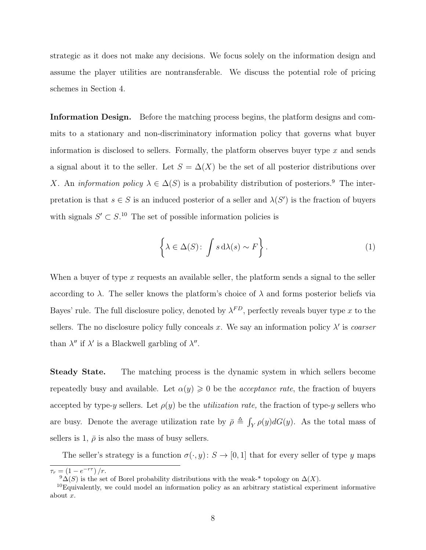strategic as it does not make any decisions. We focus solely on the information design and assume the player utilities are nontransferable. We discuss the potential role of pricing schemes in Section 4.

Information Design. Before the matching process begins, the platform designs and commits to a stationary and non-discriminatory information policy that governs what buyer information is disclosed to sellers. Formally, the platform observes buyer type  $x$  and sends a signal about it to the seller. Let  $S = \Delta(X)$  be the set of all posterior distributions over X. An *information policy*  $\lambda \in \Delta(S)$  is a probability distribution of posteriors.<sup>9</sup> The interpretation is that  $s \in S$  is an induced posterior of a seller and  $\lambda(S')$  is the fraction of buyers with signals  $S' \subset S$ .<sup>10</sup> The set of possible information policies is

$$
\left\{\lambda \in \Delta(S) : \int s \, d\lambda(s) \sim F\right\}.
$$
 (1)

When a buyer of type  $x$  requests an available seller, the platform sends a signal to the seller according to  $\lambda$ . The seller knows the platform's choice of  $\lambda$  and forms posterior beliefs via Bayes' rule. The full disclosure policy, denoted by  $\lambda^{FD}$ , perfectly reveals buyer type x to the sellers. The no disclosure policy fully conceals x. We say an information policy  $\lambda'$  is *coarser* than  $\lambda''$  if  $\lambda'$  is a Blackwell garbling of  $\lambda''$ .

Steady State. The matching process is the dynamic system in which sellers become repeatedly busy and available. Let  $\alpha(y) \geq 0$  be the *acceptance rate*, the fraction of buyers accepted by type-y sellers. Let  $\rho(y)$  be the *utilization rate*, the fraction of type-y sellers who are busy. Denote the average utilization rate by  $\bar{\rho} \triangleq \int_Y \rho(y) dG(y)$ . As the total mass of sellers is 1,  $\bar{\rho}$  is also the mass of busy sellers.

The seller's strategy is a function  $\sigma(\cdot, y) : S \to [0, 1]$  that for every seller of type y maps

 $\tau_r = (1 - e^{-r\tau})/r.$ 

 $9\Delta(S)$  is the set of Borel probability distributions with the weak-\* topology on  $\Delta(X)$ .

 $10E$ quivalently, we could model an information policy as an arbitrary statistical experiment informative about x.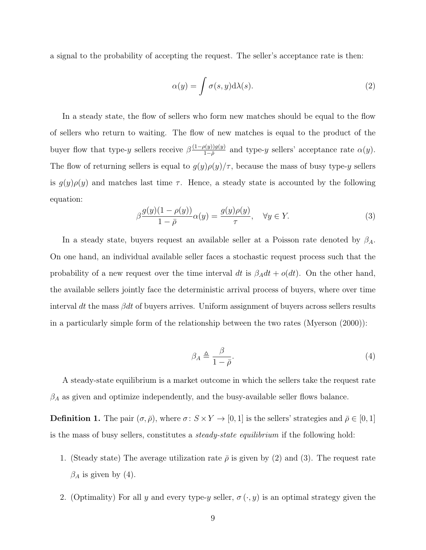a signal to the probability of accepting the request. The seller's acceptance rate is then:

$$
\alpha(y) = \int \sigma(s, y) \mathrm{d}\lambda(s). \tag{2}
$$

In a steady state, the flow of sellers who form new matches should be equal to the flow of sellers who return to waiting. The flow of new matches is equal to the product of the buyer flow that type-y sellers receive  $\beta \frac{(1-\rho(y))g(y)}{1-\overline{\rho}}$  $\frac{\partial(y)/\partial(y)}{1-\bar{\rho}}$  and type-y sellers' acceptance rate  $\alpha(y)$ . The flow of returning sellers is equal to  $g(y)\rho(y)/\tau$ , because the mass of busy type-y sellers is  $g(y)\rho(y)$  and matches last time  $\tau$ . Hence, a steady state is accounted by the following equation:

$$
\beta \frac{g(y)(1 - \rho(y))}{1 - \bar{\rho}} \alpha(y) = \frac{g(y)\rho(y)}{\tau}, \quad \forall y \in Y.
$$
\n(3)

In a steady state, buyers request an available seller at a Poisson rate denoted by  $\beta_A$ . On one hand, an individual available seller faces a stochastic request process such that the probability of a new request over the time interval dt is  $\beta_A dt + o(dt)$ . On the other hand, the available sellers jointly face the deterministic arrival process of buyers, where over time interval dt the mass  $\beta dt$  of buyers arrives. Uniform assignment of buyers across sellers results in a particularly simple form of the relationship between the two rates (Myerson (2000)):

$$
\beta_A \triangleq \frac{\beta}{1 - \bar{\rho}}.\tag{4}
$$

A steady-state equilibrium is a market outcome in which the sellers take the request rate  $\beta_A$  as given and optimize independently, and the busy-available seller flows balance.

**Definition 1.** The pair  $(\sigma, \bar{\rho})$ , where  $\sigma: S \times Y \to [0, 1]$  is the sellers' strategies and  $\bar{\rho} \in [0, 1]$ is the mass of busy sellers, constitutes a steady-state equilibrium if the following hold:

- 1. (Steady state) The average utilization rate  $\bar{\rho}$  is given by (2) and (3). The request rate  $\beta_A$  is given by (4).
- 2. (Optimality) For all y and every type-y seller,  $\sigma(\cdot, y)$  is an optimal strategy given the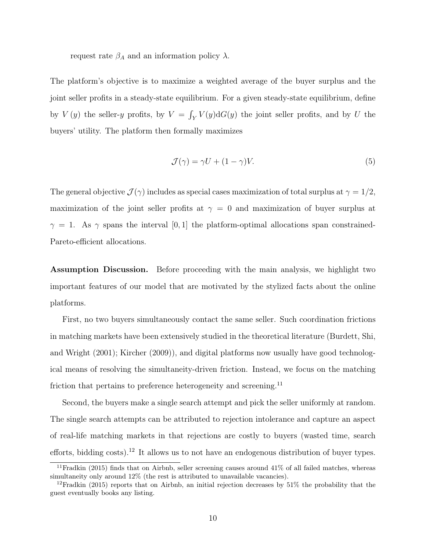request rate  $\beta_A$  and an information policy  $\lambda$ .

The platform's objective is to maximize a weighted average of the buyer surplus and the joint seller profits in a steady-state equilibrium. For a given steady-state equilibrium, define by  $V(y)$  the seller-y profits, by  $V = \int_Y V(y) dG(y)$  the joint seller profits, and by U the buyers' utility. The platform then formally maximizes

$$
\mathcal{J}(\gamma) = \gamma U + (1 - \gamma)V. \tag{5}
$$

The general objective  $\mathcal{J}(\gamma)$  includes as special cases maximization of total surplus at  $\gamma = 1/2$ , maximization of the joint seller profits at  $\gamma = 0$  and maximization of buyer surplus at  $\gamma = 1$ . As  $\gamma$  spans the interval [0, 1] the platform-optimal allocations span constrained-Pareto-efficient allocations.

Assumption Discussion. Before proceeding with the main analysis, we highlight two important features of our model that are motivated by the stylized facts about the online platforms.

First, no two buyers simultaneously contact the same seller. Such coordination frictions in matching markets have been extensively studied in the theoretical literature (Burdett, Shi, and Wright (2001); Kircher (2009)), and digital platforms now usually have good technological means of resolving the simultaneity-driven friction. Instead, we focus on the matching friction that pertains to preference heterogeneity and screening.<sup>11</sup>

Second, the buyers make a single search attempt and pick the seller uniformly at random. The single search attempts can be attributed to rejection intolerance and capture an aspect of real-life matching markets in that rejections are costly to buyers (wasted time, search efforts, bidding costs).<sup>12</sup> It allows us to not have an endogenous distribution of buyer types.

<sup>11</sup>Fradkin (2015) finds that on Airbnb, seller screening causes around 41% of all failed matches, whereas simultaneity only around 12% (the rest is attributed to unavailable vacancies).

 $12$ Fradkin (2015) reports that on Airbnb, an initial rejection decreases by 51% the probability that the guest eventually books any listing.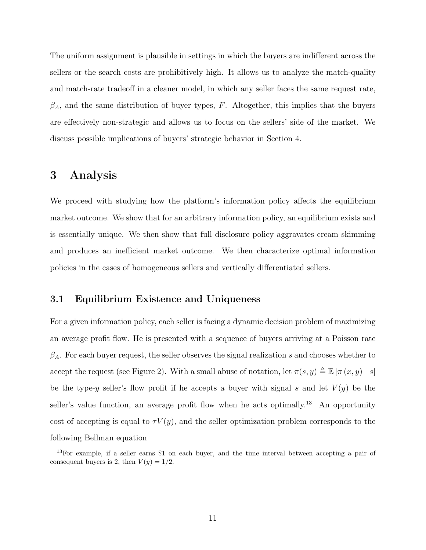The uniform assignment is plausible in settings in which the buyers are indifferent across the sellers or the search costs are prohibitively high. It allows us to analyze the match-quality and match-rate tradeoff in a cleaner model, in which any seller faces the same request rate,  $\beta_A$ , and the same distribution of buyer types, F. Altogether, this implies that the buyers are effectively non-strategic and allows us to focus on the sellers' side of the market. We discuss possible implications of buyers' strategic behavior in Section 4.

### 3 Analysis

We proceed with studying how the platform's information policy affects the equilibrium market outcome. We show that for an arbitrary information policy, an equilibrium exists and is essentially unique. We then show that full disclosure policy aggravates cream skimming and produces an inefficient market outcome. We then characterize optimal information policies in the cases of homogeneous sellers and vertically differentiated sellers.

#### 3.1 Equilibrium Existence and Uniqueness

For a given information policy, each seller is facing a dynamic decision problem of maximizing an average profit flow. He is presented with a sequence of buyers arriving at a Poisson rate  $\beta_A$ . For each buyer request, the seller observes the signal realization s and chooses whether to accept the request (see Figure 2). With a small abuse of notation, let  $\pi(s, y) \triangleq \mathbb{E} [\pi(x, y) | s]$ be the type-y seller's flow profit if he accepts a buyer with signal s and let  $V(y)$  be the seller's value function, an average profit flow when he acts optimally.<sup>13</sup> An opportunity cost of accepting is equal to  $\tau V(y)$ , and the seller optimization problem corresponds to the following Bellman equation

<sup>13</sup>For example, if a seller earns \$1 on each buyer, and the time interval between accepting a pair of consequent buyers is 2, then  $V(y) = 1/2$ .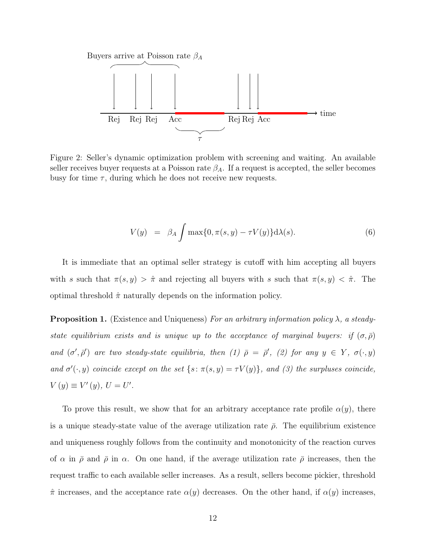

Figure 2: Seller's dynamic optimization problem with screening and waiting. An available seller receives buyer requests at a Poisson rate  $\beta_A$ . If a request is accepted, the seller becomes busy for time  $\tau$ , during which he does not receive new requests.

$$
V(y) = \beta_A \int \max\{0, \pi(s, y) - \tau V(y)\} d\lambda(s). \tag{6}
$$

It is immediate that an optimal seller strategy is cutoff with him accepting all buyers with s such that  $\pi(s, y) > \hat{\pi}$  and rejecting all buyers with s such that  $\pi(s, y) < \hat{\pi}$ . The optimal threshold  $\hat{\pi}$  naturally depends on the information policy.

**Proposition 1.** (Existence and Uniqueness) For an arbitrary information policy  $\lambda$ , a steadystate equilibrium exists and is unique up to the acceptance of marginal buyers: if  $(\sigma, \bar{\rho})$ and  $(\sigma', \bar{\rho}')$  are two steady-state equilibria, then (1)  $\bar{\rho} = \bar{\rho}'$ , (2) for any  $y \in Y$ ,  $\sigma(\cdot, y)$ and  $\sigma'(\cdot, y)$  coincide except on the set  $\{s : \pi(s, y) = \tau V(y)\}$ , and (3) the surpluses coincide,  $V(y) \equiv V'(y), U = U'.$ 

To prove this result, we show that for an arbitrary acceptance rate profile  $\alpha(y)$ , there is a unique steady-state value of the average utilization rate  $\bar{\rho}$ . The equilibrium existence and uniqueness roughly follows from the continuity and monotonicity of the reaction curves of  $\alpha$  in  $\bar{\rho}$  and  $\bar{\rho}$  in  $\alpha$ . On one hand, if the average utilization rate  $\bar{\rho}$  increases, then the request traffic to each available seller increases. As a result, sellers become pickier, threshold  $\hat{\pi}$  increases, and the acceptance rate  $\alpha(y)$  decreases. On the other hand, if  $\alpha(y)$  increases,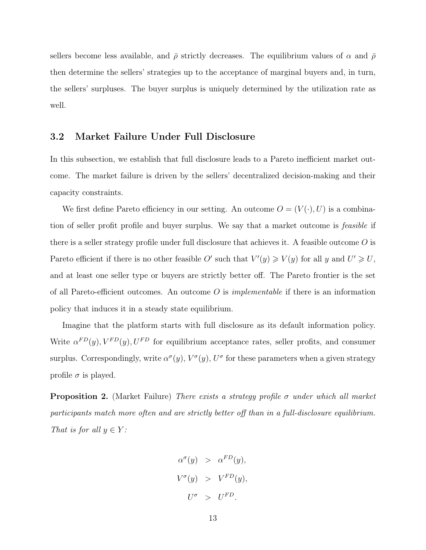sellers become less available, and  $\bar{\rho}$  strictly decreases. The equilibrium values of  $\alpha$  and  $\bar{\rho}$ then determine the sellers' strategies up to the acceptance of marginal buyers and, in turn, the sellers' surpluses. The buyer surplus is uniquely determined by the utilization rate as well.

#### 3.2 Market Failure Under Full Disclosure

In this subsection, we establish that full disclosure leads to a Pareto inefficient market outcome. The market failure is driven by the sellers' decentralized decision-making and their capacity constraints.

We first define Pareto efficiency in our setting. An outcome  $O = (V(\cdot), U)$  is a combination of seller profit profile and buyer surplus. We say that a market outcome is feasible if there is a seller strategy profile under full disclosure that achieves it. A feasible outcome  $O$  is Pareto efficient if there is no other feasible O' such that  $V'(y) \geq V(y)$  for all y and  $U' \geq U$ , and at least one seller type or buyers are strictly better off. The Pareto frontier is the set of all Pareto-efficient outcomes. An outcome  $O$  is *implementable* if there is an information policy that induces it in a steady state equilibrium.

Imagine that the platform starts with full disclosure as its default information policy. Write  $\alpha^{FD}(y)$ ,  $V^{FD}(y)$ ,  $U^{FD}$  for equilibrium acceptance rates, seller profits, and consumer surplus. Correspondingly, write  $\alpha^{\sigma}(y)$ ,  $V^{\sigma}(y)$ ,  $U^{\sigma}$  for these parameters when a given strategy profile  $\sigma$  is played.

**Proposition 2.** (Market Failure) There exists a strategy profile  $\sigma$  under which all market participants match more often and are strictly better off than in a full-disclosure equilibrium. That is for all  $y \in Y$ :

> $\alpha^{\sigma}(y) > \alpha^{FD}(y),$  $V^{\sigma}(y) > V^{FD}(y),$  $U^{\sigma}$  >  $U^{FD}$ .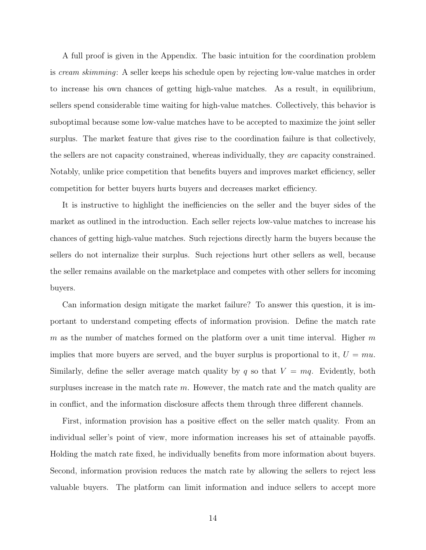A full proof is given in the Appendix. The basic intuition for the coordination problem is cream skimming: A seller keeps his schedule open by rejecting low-value matches in order to increase his own chances of getting high-value matches. As a result, in equilibrium, sellers spend considerable time waiting for high-value matches. Collectively, this behavior is suboptimal because some low-value matches have to be accepted to maximize the joint seller surplus. The market feature that gives rise to the coordination failure is that collectively, the sellers are not capacity constrained, whereas individually, they are capacity constrained. Notably, unlike price competition that benefits buyers and improves market efficiency, seller competition for better buyers hurts buyers and decreases market efficiency.

It is instructive to highlight the inefficiencies on the seller and the buyer sides of the market as outlined in the introduction. Each seller rejects low-value matches to increase his chances of getting high-value matches. Such rejections directly harm the buyers because the sellers do not internalize their surplus. Such rejections hurt other sellers as well, because the seller remains available on the marketplace and competes with other sellers for incoming buyers.

Can information design mitigate the market failure? To answer this question, it is important to understand competing effects of information provision. Define the match rate m as the number of matches formed on the platform over a unit time interval. Higher  $m$ implies that more buyers are served, and the buyer surplus is proportional to it,  $U = mu$ . Similarly, define the seller average match quality by q so that  $V = mq$ . Evidently, both surpluses increase in the match rate  $m$ . However, the match rate and the match quality are in conflict, and the information disclosure affects them through three different channels.

First, information provision has a positive effect on the seller match quality. From an individual seller's point of view, more information increases his set of attainable payoffs. Holding the match rate fixed, he individually benefits from more information about buyers. Second, information provision reduces the match rate by allowing the sellers to reject less valuable buyers. The platform can limit information and induce sellers to accept more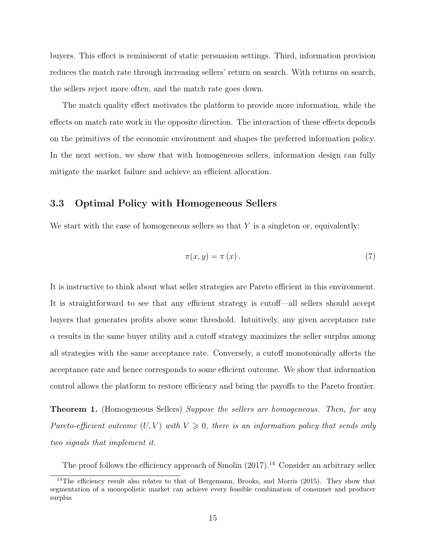buyers. This effect is reminiscent of static persuasion settings. Third, information provision reduces the match rate through increasing sellers' return on search. With returns on search, the sellers reject more often, and the match rate goes down.

The match quality effect motivates the platform to provide more information, while the effects on match rate work in the opposite direction. The interaction of these effects depends on the primitives of the economic environment and shapes the preferred information policy. In the next section, we show that with homogeneous sellers, information design can fully mitigate the market failure and achieve an efficient allocation.

#### 3.3 Optimal Policy with Homogeneous Sellers

We start with the case of homogeneous sellers so that  $Y$  is a singleton or, equivalently:

$$
\pi(x, y) = \pi(x). \tag{7}
$$

It is instructive to think about what seller strategies are Pareto efficient in this environment. It is straightforward to see that any efficient strategy is cutoff—all sellers should accept buyers that generates profits above some threshold. Intuitively, any given acceptance rate  $\alpha$  results in the same buyer utility and a cutoff strategy maximizes the seller surplus among all strategies with the same acceptance rate. Conversely, a cutoff monotonically affects the acceptance rate and hence corresponds to some efficient outcome. We show that information control allows the platform to restore efficiency and bring the payoffs to the Pareto frontier.

**Theorem 1.** (Homogeneous Sellers) Suppose the sellers are homogeneous. Then, for any Pareto-efficient outcome  $(U, V)$  with  $V \geq 0$ , there is an information policy that sends only two signals that implement it.

The proof follows the efficiency approach of Smolin  $(2017)$ .<sup>14</sup> Consider an arbitrary seller

<sup>&</sup>lt;sup>14</sup>The efficiency result also relates to that of Bergemann, Brooks, and Morris (2015). They show that segmentation of a monopolistic market can achieve every feasible combination of consumer and producer surplus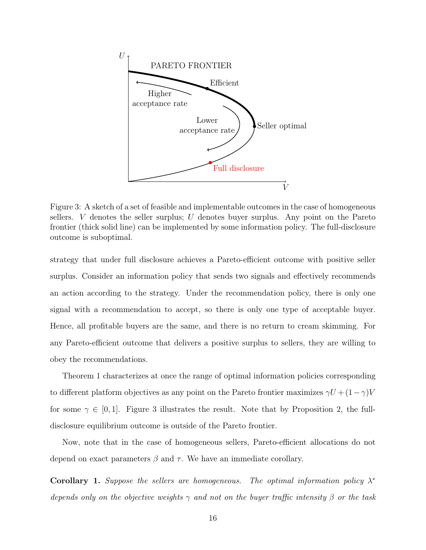

Figure 3: A sketch of a set of feasible and implementable outcomes in the case of homogeneous sellers. V denotes the seller surplus; U denotes buyer surplus. Any point on the Pareto frontier (thick solid line) can be implemented by some information policy. The full-disclosure outcome is suboptimal.

strategy that under full disclosure achieves a Pareto-efficient outcome with positive seller surplus. Consider an information policy that sends two signals and effectively recommends an action according to the strategy. Under the recommendation policy, there is only one signal with a recommendation to accept, so there is only one type of acceptable buyer. Hence, all profitable buyers are the same, and there is no return to cream skimming. For any Pareto-efficient outcome that delivers a positive surplus to sellers, they are willing to obey the recommendations.

Theorem 1 characterizes at once the range of optimal information policies corresponding to different platform objectives as any point on the Pareto frontier maximizes  $\gamma U + (1-\gamma)V$ for some  $\gamma \in [0,1]$ . Figure 3 illustrates the result. Note that by Proposition 2, the fulldisclosure equilibrium outcome is outside of the Pareto frontier.

Now, note that in the case of homogeneous sellers, Pareto-efficient allocations do not depend on exact parameters  $\beta$  and  $\tau$ . We have an immediate corollary.

**Corollary 1.** Suppose the sellers are homogeneous. The optimal information policy  $\lambda^*$ depends only on the objective weights  $\gamma$  and not on the buyer traffic intensity  $\beta$  or the task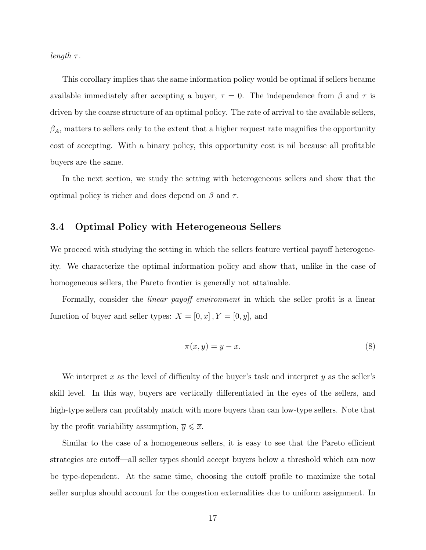length  $\tau$ .

This corollary implies that the same information policy would be optimal if sellers became available immediately after accepting a buyer,  $\tau = 0$ . The independence from  $\beta$  and  $\tau$  is driven by the coarse structure of an optimal policy. The rate of arrival to the available sellers,  $\beta_A$ , matters to sellers only to the extent that a higher request rate magnifies the opportunity cost of accepting. With a binary policy, this opportunity cost is nil because all profitable buyers are the same.

In the next section, we study the setting with heterogeneous sellers and show that the optimal policy is richer and does depend on  $\beta$  and  $\tau$ .

#### 3.4 Optimal Policy with Heterogeneous Sellers

We proceed with studying the setting in which the sellers feature vertical payoff heterogeneity. We characterize the optimal information policy and show that, unlike in the case of homogeneous sellers, the Pareto frontier is generally not attainable.

Formally, consider the *linear payoff environment* in which the seller profit is a linear function of buyer and seller types:  $X = [0, \overline{x}], Y = [0, \overline{y}],$  and

$$
\pi(x, y) = y - x.\tag{8}
$$

We interpret x as the level of difficulty of the buyer's task and interpret y as the seller's skill level. In this way, buyers are vertically differentiated in the eyes of the sellers, and high-type sellers can profitably match with more buyers than can low-type sellers. Note that by the profit variability assumption,  $\overline{y} \leq \overline{x}$ .

Similar to the case of a homogeneous sellers, it is easy to see that the Pareto efficient strategies are cutoff—all seller types should accept buyers below a threshold which can now be type-dependent. At the same time, choosing the cutoff profile to maximize the total seller surplus should account for the congestion externalities due to uniform assignment. In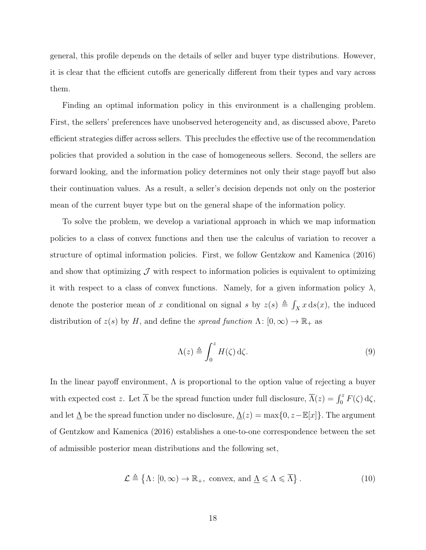general, this profile depends on the details of seller and buyer type distributions. However, it is clear that the efficient cutoffs are generically different from their types and vary across them.

Finding an optimal information policy in this environment is a challenging problem. First, the sellers' preferences have unobserved heterogeneity and, as discussed above, Pareto efficient strategies differ across sellers. This precludes the effective use of the recommendation policies that provided a solution in the case of homogeneous sellers. Second, the sellers are forward looking, and the information policy determines not only their stage payoff but also their continuation values. As a result, a seller's decision depends not only on the posterior mean of the current buyer type but on the general shape of the information policy.

To solve the problem, we develop a variational approach in which we map information policies to a class of convex functions and then use the calculus of variation to recover a structure of optimal information policies. First, we follow Gentzkow and Kamenica (2016) and show that optimizing  $\mathcal J$  with respect to information policies is equivalent to optimizing it with respect to a class of convex functions. Namely, for a given information policy  $\lambda$ , denote the posterior mean of x conditional on signal s by  $z(s) \triangleq \int_X x \, ds(x)$ , the induced distribution of  $z(s)$  by H, and define the spread function  $\Lambda: [0, \infty) \to \mathbb{R}_+$  as

$$
\Lambda(z) \triangleq \int_0^z H(\zeta) \,\mathrm{d}\zeta. \tag{9}
$$

In the linear payoff environment,  $\Lambda$  is proportional to the option value of rejecting a buyer with expected cost z. Let  $\overline{\Lambda}$  be the spread function under full disclosure,  $\overline{\Lambda}(z) = \int_0^z F(\zeta) d\zeta$ , and let  $\Delta$  be the spread function under no disclosure,  $\Delta(z) = \max\{0, z - \mathbb{E}[x]\}\.$  The argument of Gentzkow and Kamenica (2016) establishes a one-to-one correspondence between the set of admissible posterior mean distributions and the following set,

$$
\mathcal{L} \triangleq \left\{ \Lambda \colon [0, \infty) \to \mathbb{R}_+, \text{ convex, and } \underline{\Lambda} \leqslant \Lambda \leqslant \overline{\Lambda} \right\}. \tag{10}
$$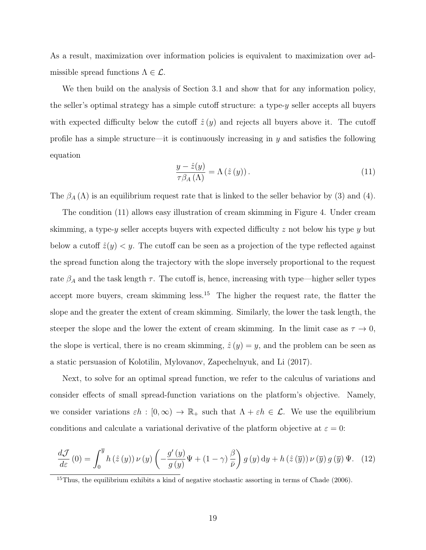As a result, maximization over information policies is equivalent to maximization over admissible spread functions  $\Lambda \in \mathcal{L}$ .

We then build on the analysis of Section 3.1 and show that for any information policy, the seller's optimal strategy has a simple cutoff structure: a type-y seller accepts all buyers with expected difficulty below the cutoff  $\hat{z}(y)$  and rejects all buyers above it. The cutoff profile has a simple structure—it is continuously increasing in  $y$  and satisfies the following equation

$$
\frac{y - \hat{z}(y)}{\tau \beta_A(\Lambda)} = \Lambda(\hat{z}(y)).
$$
\n(11)

The  $\beta_A(\Lambda)$  is an equilibrium request rate that is linked to the seller behavior by (3) and (4).

The condition (11) allows easy illustration of cream skimming in Figure 4. Under cream skimming, a type-y seller accepts buyers with expected difficulty  $z$  not below his type  $y$  but below a cutoff  $\hat{z}(y) < y$ . The cutoff can be seen as a projection of the type reflected against the spread function along the trajectory with the slope inversely proportional to the request rate  $\beta_A$  and the task length  $\tau$ . The cutoff is, hence, increasing with type—higher seller types accept more buyers, cream skimming less.<sup>15</sup> The higher the request rate, the flatter the slope and the greater the extent of cream skimming. Similarly, the lower the task length, the steeper the slope and the lower the extent of cream skimming. In the limit case as  $\tau \to 0$ , the slope is vertical, there is no cream skimming,  $\hat{z}(y) = y$ , and the problem can be seen as a static persuasion of Kolotilin, Mylovanov, Zapechelnyuk, and Li (2017).

Next, to solve for an optimal spread function, we refer to the calculus of variations and consider effects of small spread-function variations on the platform's objective. Namely, we consider variations  $\varepsilon h : [0, \infty) \to \mathbb{R}_+$  such that  $\Lambda + \varepsilon h \in \mathcal{L}$ . We use the equilibrium conditions and calculate a variational derivative of the platform objective at  $\varepsilon = 0$ :

$$
\frac{d\mathcal{J}}{d\varepsilon}(0) = \int_0^{\overline{y}} h(\hat{z}(y)) \nu(y) \left( -\frac{g'(y)}{g(y)} \Psi + (1 - \gamma) \frac{\beta}{\overline{\nu}} \right) g(y) dy + h(\hat{z}(\overline{y})) \nu(\overline{y}) g(\overline{y}) \Psi. \tag{12}
$$

<sup>&</sup>lt;sup>15</sup>Thus, the equilibrium exhibits a kind of negative stochastic assorting in terms of Chade (2006).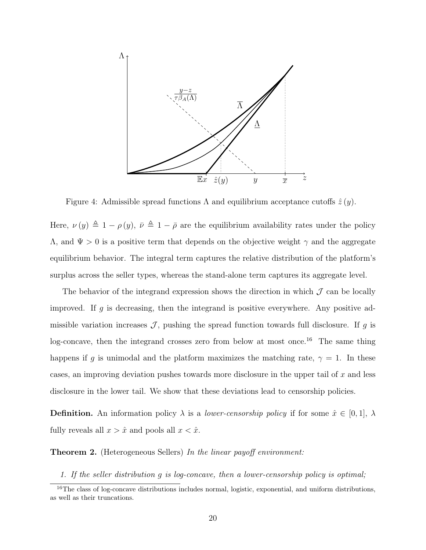

Figure 4: Admissible spread functions  $\Lambda$  and equilibrium acceptance cutoffs  $\hat{z}(y)$ .

Here,  $\nu(y) \triangleq 1 - \rho(y), \bar{\nu} \triangleq 1 - \bar{\rho}$  are the equilibrium availability rates under the policy  $Λ$ , and  $Ψ > 0$  is a positive term that depends on the objective weight  $γ$  and the aggregate equilibrium behavior. The integral term captures the relative distribution of the platform's surplus across the seller types, whereas the stand-alone term captures its aggregate level.

The behavior of the integrand expression shows the direction in which  $\mathcal J$  can be locally improved. If  $g$  is decreasing, then the integrand is positive everywhere. Any positive admissible variation increases  $\mathcal{J}$ , pushing the spread function towards full disclosure. If g is log-concave, then the integrand crosses zero from below at most once.<sup>16</sup> The same thing happens if g is unimodal and the platform maximizes the matching rate,  $\gamma = 1$ . In these cases, an improving deviation pushes towards more disclosure in the upper tail of  $x$  and less disclosure in the lower tail. We show that these deviations lead to censorship policies.

**Definition.** An information policy  $\lambda$  is a *lower-censorship policy* if for some  $\hat{x} \in [0,1], \lambda$ fully reveals all  $x > \hat{x}$  and pools all  $x < \hat{x}$ .

**Theorem 2.** (Heterogeneous Sellers) In the linear payoff environment:

1. If the seller distribution g is log-concave, then a lower-censorship policy is optimal;

<sup>&</sup>lt;sup>16</sup>The class of log-concave distributions includes normal, logistic, exponential, and uniform distributions, as well as their truncations.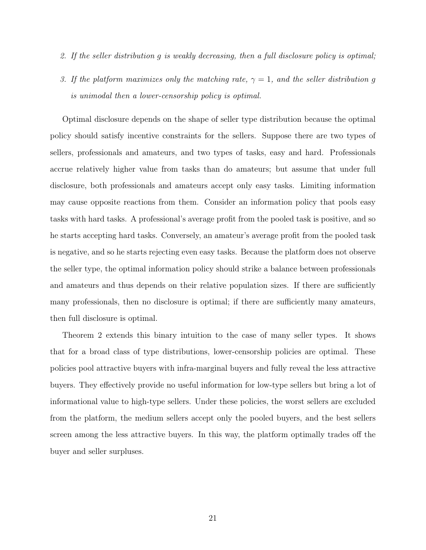- 2. If the seller distribution g is weakly decreasing, then a full disclosure policy is optimal;
- 3. If the platform maximizes only the matching rate,  $\gamma = 1$ , and the seller distribution g is unimodal then a lower-censorship policy is optimal.

Optimal disclosure depends on the shape of seller type distribution because the optimal policy should satisfy incentive constraints for the sellers. Suppose there are two types of sellers, professionals and amateurs, and two types of tasks, easy and hard. Professionals accrue relatively higher value from tasks than do amateurs; but assume that under full disclosure, both professionals and amateurs accept only easy tasks. Limiting information may cause opposite reactions from them. Consider an information policy that pools easy tasks with hard tasks. A professional's average profit from the pooled task is positive, and so he starts accepting hard tasks. Conversely, an amateur's average profit from the pooled task is negative, and so he starts rejecting even easy tasks. Because the platform does not observe the seller type, the optimal information policy should strike a balance between professionals and amateurs and thus depends on their relative population sizes. If there are sufficiently many professionals, then no disclosure is optimal; if there are sufficiently many amateurs, then full disclosure is optimal.

Theorem 2 extends this binary intuition to the case of many seller types. It shows that for a broad class of type distributions, lower-censorship policies are optimal. These policies pool attractive buyers with infra-marginal buyers and fully reveal the less attractive buyers. They effectively provide no useful information for low-type sellers but bring a lot of informational value to high-type sellers. Under these policies, the worst sellers are excluded from the platform, the medium sellers accept only the pooled buyers, and the best sellers screen among the less attractive buyers. In this way, the platform optimally trades off the buyer and seller surpluses.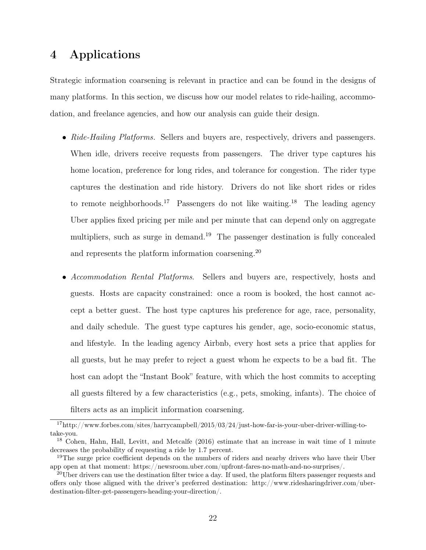## 4 Applications

Strategic information coarsening is relevant in practice and can be found in the designs of many platforms. In this section, we discuss how our model relates to ride-hailing, accommodation, and freelance agencies, and how our analysis can guide their design.

- Ride-Hailing Platforms. Sellers and buyers are, respectively, drivers and passengers. When idle, drivers receive requests from passengers. The driver type captures his home location, preference for long rides, and tolerance for congestion. The rider type captures the destination and ride history. Drivers do not like short rides or rides to remote neighborhoods.<sup>17</sup> Passengers do not like waiting.<sup>18</sup> The leading agency Uber applies fixed pricing per mile and per minute that can depend only on aggregate multipliers, such as surge in demand.<sup>19</sup> The passenger destination is fully concealed and represents the platform information coarsening.<sup>20</sup>
- Accommodation Rental Platforms. Sellers and buyers are, respectively, hosts and guests. Hosts are capacity constrained: once a room is booked, the host cannot accept a better guest. The host type captures his preference for age, race, personality, and daily schedule. The guest type captures his gender, age, socio-economic status, and lifestyle. In the leading agency Airbnb, every host sets a price that applies for all guests, but he may prefer to reject a guest whom he expects to be a bad fit. The host can adopt the "Instant Book" feature, with which the host commits to accepting all guests filtered by a few characteristics (e.g., pets, smoking, infants). The choice of filters acts as an implicit information coarsening.

 $17$ http://www.forbes.com/sites/harrycampbell/2015/03/24/just-how-far-is-your-uber-driver-willing-totake-you.

<sup>&</sup>lt;sup>18</sup> Cohen, Hahn, Hall, Levitt, and Metcalfe (2016) estimate that an increase in wait time of 1 minute decreases the probability of requesting a ride by 1.7 percent.

<sup>&</sup>lt;sup>19</sup>The surge price coefficient depends on the numbers of riders and nearby drivers who have their Uber app open at that moment: https://newsroom.uber.com/upfront-fares-no-math-and-no-surprises/.

<sup>&</sup>lt;sup>20</sup>Uber drivers can use the destination filter twice a day. If used, the platform filters passenger requests and offers only those aligned with the driver's preferred destination: http://www.ridesharingdriver.com/uberdestination-filter-get-passengers-heading-your-direction/.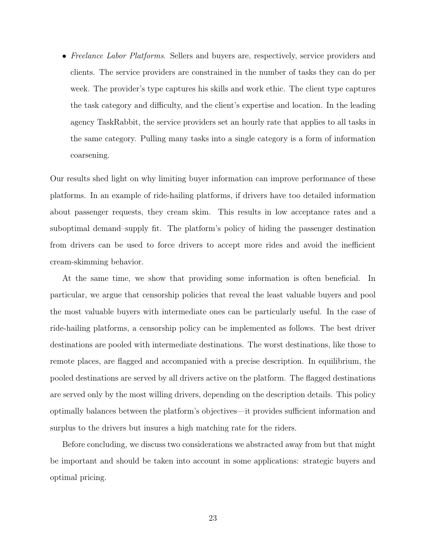• Freelance Labor Platforms. Sellers and buyers are, respectively, service providers and clients. The service providers are constrained in the number of tasks they can do per week. The provider's type captures his skills and work ethic. The client type captures the task category and difficulty, and the client's expertise and location. In the leading agency TaskRabbit, the service providers set an hourly rate that applies to all tasks in the same category. Pulling many tasks into a single category is a form of information coarsening.

Our results shed light on why limiting buyer information can improve performance of these platforms. In an example of ride-hailing platforms, if drivers have too detailed information about passenger requests, they cream skim. This results in low acceptance rates and a suboptimal demand–supply fit. The platform's policy of hiding the passenger destination from drivers can be used to force drivers to accept more rides and avoid the inefficient cream-skimming behavior.

At the same time, we show that providing some information is often beneficial. In particular, we argue that censorship policies that reveal the least valuable buyers and pool the most valuable buyers with intermediate ones can be particularly useful. In the case of ride-hailing platforms, a censorship policy can be implemented as follows. The best driver destinations are pooled with intermediate destinations. The worst destinations, like those to remote places, are flagged and accompanied with a precise description. In equilibrium, the pooled destinations are served by all drivers active on the platform. The flagged destinations are served only by the most willing drivers, depending on the description details. This policy optimally balances between the platform's objectives—it provides sufficient information and surplus to the drivers but insures a high matching rate for the riders.

Before concluding, we discuss two considerations we abstracted away from but that might be important and should be taken into account in some applications: strategic buyers and optimal pricing.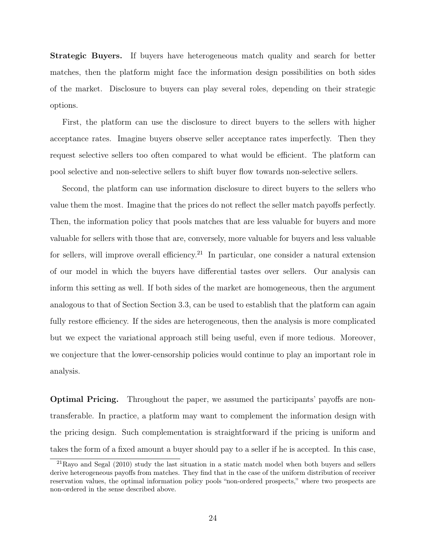Strategic Buyers. If buyers have heterogeneous match quality and search for better matches, then the platform might face the information design possibilities on both sides of the market. Disclosure to buyers can play several roles, depending on their strategic options.

First, the platform can use the disclosure to direct buyers to the sellers with higher acceptance rates. Imagine buyers observe seller acceptance rates imperfectly. Then they request selective sellers too often compared to what would be efficient. The platform can pool selective and non-selective sellers to shift buyer flow towards non-selective sellers.

Second, the platform can use information disclosure to direct buyers to the sellers who value them the most. Imagine that the prices do not reflect the seller match payoffs perfectly. Then, the information policy that pools matches that are less valuable for buyers and more valuable for sellers with those that are, conversely, more valuable for buyers and less valuable for sellers, will improve overall efficiency.<sup>21</sup> In particular, one consider a natural extension of our model in which the buyers have differential tastes over sellers. Our analysis can inform this setting as well. If both sides of the market are homogeneous, then the argument analogous to that of Section Section 3.3, can be used to establish that the platform can again fully restore efficiency. If the sides are heterogeneous, then the analysis is more complicated but we expect the variational approach still being useful, even if more tedious. Moreover, we conjecture that the lower-censorship policies would continue to play an important role in analysis.

Optimal Pricing. Throughout the paper, we assumed the participants' payoffs are nontransferable. In practice, a platform may want to complement the information design with the pricing design. Such complementation is straightforward if the pricing is uniform and takes the form of a fixed amount a buyer should pay to a seller if he is accepted. In this case,

 $^{21}$ Rayo and Segal (2010) study the last situation in a static match model when both buyers and sellers derive heterogeneous payoffs from matches. They find that in the case of the uniform distribution of receiver reservation values, the optimal information policy pools "non-ordered prospects," where two prospects are non-ordered in the sense described above.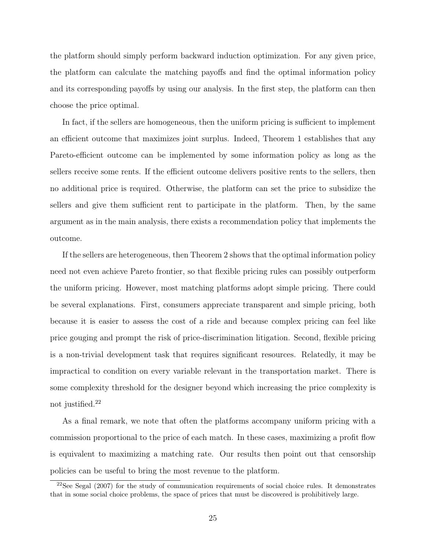the platform should simply perform backward induction optimization. For any given price, the platform can calculate the matching payoffs and find the optimal information policy and its corresponding payoffs by using our analysis. In the first step, the platform can then choose the price optimal.

In fact, if the sellers are homogeneous, then the uniform pricing is sufficient to implement an efficient outcome that maximizes joint surplus. Indeed, Theorem 1 establishes that any Pareto-efficient outcome can be implemented by some information policy as long as the sellers receive some rents. If the efficient outcome delivers positive rents to the sellers, then no additional price is required. Otherwise, the platform can set the price to subsidize the sellers and give them sufficient rent to participate in the platform. Then, by the same argument as in the main analysis, there exists a recommendation policy that implements the outcome.

If the sellers are heterogeneous, then Theorem 2 shows that the optimal information policy need not even achieve Pareto frontier, so that flexible pricing rules can possibly outperform the uniform pricing. However, most matching platforms adopt simple pricing. There could be several explanations. First, consumers appreciate transparent and simple pricing, both because it is easier to assess the cost of a ride and because complex pricing can feel like price gouging and prompt the risk of price-discrimination litigation. Second, flexible pricing is a non-trivial development task that requires significant resources. Relatedly, it may be impractical to condition on every variable relevant in the transportation market. There is some complexity threshold for the designer beyond which increasing the price complexity is not justified.<sup>22</sup>

As a final remark, we note that often the platforms accompany uniform pricing with a commission proportional to the price of each match. In these cases, maximizing a profit flow is equivalent to maximizing a matching rate. Our results then point out that censorship policies can be useful to bring the most revenue to the platform.

<sup>&</sup>lt;sup>22</sup>See Segal (2007) for the study of communication requirements of social choice rules. It demonstrates that in some social choice problems, the space of prices that must be discovered is prohibitively large.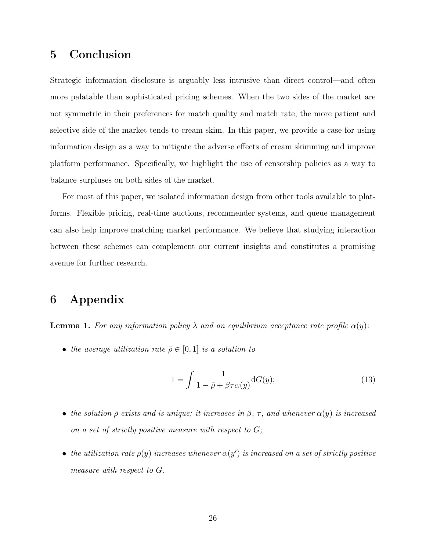## 5 Conclusion

Strategic information disclosure is arguably less intrusive than direct control—and often more palatable than sophisticated pricing schemes. When the two sides of the market are not symmetric in their preferences for match quality and match rate, the more patient and selective side of the market tends to cream skim. In this paper, we provide a case for using information design as a way to mitigate the adverse effects of cream skimming and improve platform performance. Specifically, we highlight the use of censorship policies as a way to balance surpluses on both sides of the market.

For most of this paper, we isolated information design from other tools available to platforms. Flexible pricing, real-time auctions, recommender systems, and queue management can also help improve matching market performance. We believe that studying interaction between these schemes can complement our current insights and constitutes a promising avenue for further research.

## 6 Appendix

**Lemma 1.** For any information policy  $\lambda$  and an equilibrium acceptance rate profile  $\alpha(y)$ :

• the average utilization rate  $\bar{\rho} \in [0, 1]$  is a solution to

$$
1 = \int \frac{1}{1 - \bar{\rho} + \beta \tau \alpha(y)} dG(y); \tag{13}
$$

- the solution  $\bar{\rho}$  exists and is unique; it increases in  $\beta$ ,  $\tau$ , and whenever  $\alpha(y)$  is increased on a set of strictly positive measure with respect to  $G$ ;
- the utilization rate  $\rho(y)$  increases whenever  $\alpha(y')$  is increased on a set of strictly positive measure with respect to G.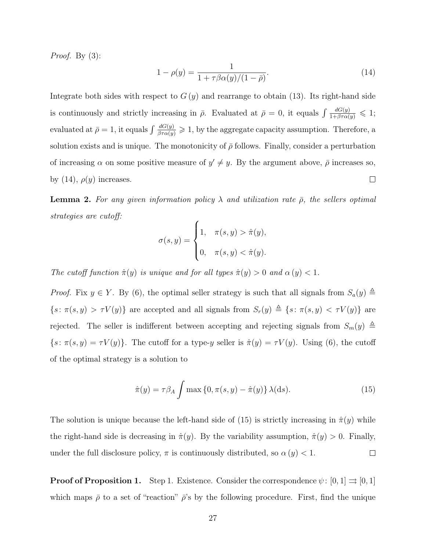Proof. By (3):

$$
1 - \rho(y) = \frac{1}{1 + \tau \beta \alpha(y)/(1 - \bar{\rho})}.
$$
\n(14)

Integrate both sides with respect to  $G(y)$  and rearrange to obtain (13). Its right-hand side is continuously and strictly increasing in  $\bar{\rho}$ . Evaluated at  $\bar{\rho} = 0$ , it equals  $\int \frac{dG(y)}{1+\beta\tau\alpha(y)} \leq 1$ ; evaluated at  $\bar{\rho} = 1$ , it equals  $\int \frac{dG(y)}{\beta \tau \alpha(y)} \geq 1$ , by the aggregate capacity assumption. Therefore, a solution exists and is unique. The monotonicity of  $\bar{\rho}$  follows. Finally, consider a perturbation of increasing  $\alpha$  on some positive measure of  $y' \neq y$ . By the argument above,  $\bar{\rho}$  increases so, by  $(14)$ ,  $\rho(y)$  increases.  $\Box$ 

**Lemma 2.** For any given information policy  $\lambda$  and utilization rate  $\bar{\rho}$ , the sellers optimal strategies are cutoff:

$$
\sigma(s,y) = \begin{cases} 1, & \pi(s,y) > \hat{\pi}(y), \\ 0, & \pi(s,y) < \hat{\pi}(y). \end{cases}
$$

The cutoff function  $\hat{\pi}(y)$  is unique and for all types  $\hat{\pi}(y) > 0$  and  $\alpha(y) < 1$ .

*Proof.* Fix  $y \in Y$ . By (6), the optimal seller strategy is such that all signals from  $S_a(y) \triangleq$  $\{s: \pi(s, y) > \tau V(y)\}\$ are accepted and all signals from  $S_r(y) \triangleq \{s: \pi(s, y) < \tau V(y)\}\$ are rejected. The seller is indifferent between accepting and rejecting signals from  $S_m(y) \triangleq$  $\{s: \pi(s, y) = \tau V(y)\}.$  The cutoff for a type-y seller is  $\hat{\pi}(y) = \tau V(y)$ . Using (6), the cutoff of the optimal strategy is a solution to

$$
\hat{\pi}(y) = \tau \beta_A \int \max\left\{0, \pi(s, y) - \hat{\pi}(y)\right\} \lambda(\mathrm{d}s). \tag{15}
$$

The solution is unique because the left-hand side of (15) is strictly increasing in  $\hat{\pi}(y)$  while the right-hand side is decreasing in  $\hat{\pi}(y)$ . By the variability assumption,  $\hat{\pi}(y) > 0$ . Finally, under the full disclosure policy,  $\pi$  is continuously distributed, so  $\alpha(y) < 1$ .  $\Box$ 

**Proof of Proposition 1.** Step 1. Existence. Consider the correspondence  $\psi$ :  $[0,1] \rightrightarrows [0,1]$ which maps  $\bar{\rho}$  to a set of "reaction"  $\bar{\rho}$ 's by the following procedure. First, find the unique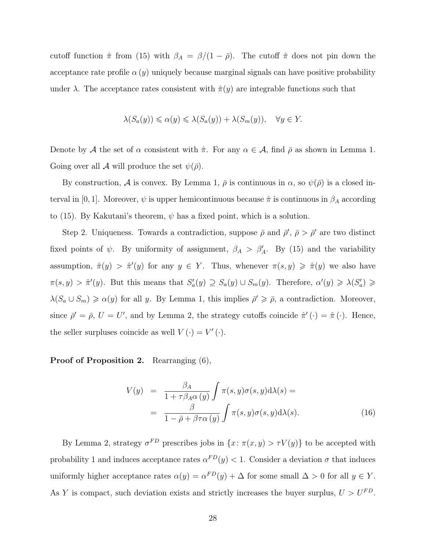cutoff function  $\hat{\pi}$  from (15) with  $\beta_A = \beta/(1-\bar{\rho})$ . The cutoff  $\hat{\pi}$  does not pin down the acceptance rate profile  $\alpha(y)$  uniquely because marginal signals can have positive probability under  $\lambda$ . The acceptance rates consistent with  $\hat{\pi}(y)$  are integrable functions such that

$$
\lambda(S_a(y)) \leq \alpha(y) \leq \lambda(S_a(y)) + \lambda(S_m(y)), \quad \forall y \in Y.
$$

Denote by A the set of  $\alpha$  consistent with  $\hat{\pi}$ . For any  $\alpha \in \mathcal{A}$ , find  $\bar{\rho}$  as shown in Lemma 1. Going over all A will produce the set  $\psi(\bar{\rho})$ .

By construction, A is convex. By Lemma 1,  $\bar{\rho}$  is continuous in  $\alpha$ , so  $\psi(\bar{\rho})$  is a closed interval in [0, 1]. Moreover,  $\psi$  is upper hemicontinuous because  $\hat{\pi}$  is continuous in  $\beta_A$  according to (15). By Kakutani's theorem,  $\psi$  has a fixed point, which is a solution.

Step 2. Uniqueness. Towards a contradiction, suppose  $\bar{\rho}$  and  $\bar{\rho}'$ ,  $\bar{\rho} > \bar{\rho}'$  are two distinct fixed points of  $\psi$ . By uniformity of assignment,  $\beta_A > \beta'_A$ . By (15) and the variability assumption,  $\hat{\pi}(y) > \hat{\pi}'(y)$  for any  $y \in Y$ . Thus, whenever  $\pi(s, y) \geq \hat{\pi}(y)$  we also have  $\pi(s, y) > \hat{\pi}'(y)$ . But this means that  $S'_{\epsilon}$  $S_a(y) \supseteq S_a(y) \cup S_m(y)$ . Therefore,  $\alpha'(y) \geq \lambda(S_a(y))$  $_n'$ )  $\geqslant$  $\lambda(S_a \cup S_m) \geq \alpha(y)$  for all y. By Lemma 1, this implies  $\bar{\rho}' \geq \bar{\rho}$ , a contradiction. Moreover, since  $\bar{\rho}' = \bar{\rho}, U = U'$ , and by Lemma 2, the strategy cutoffs coincide  $\hat{\pi}'(\cdot) = \hat{\pi}(\cdot)$ . Hence, the seller surpluses coincide as well  $V(\cdot) = V'(\cdot)$ .

Proof of Proposition 2. Rearranging  $(6)$ ,

$$
V(y) = \frac{\beta_A}{1 + \tau \beta_A \alpha(y)} \int \pi(s, y) \sigma(s, y) d\lambda(s) =
$$
  
= 
$$
\frac{\beta}{1 - \bar{\rho} + \beta \tau \alpha(y)} \int \pi(s, y) \sigma(s, y) d\lambda(s).
$$
 (16)

By Lemma 2, strategy  $\sigma^{FD}$  prescribes jobs in  $\{x: \pi(x,y) > \tau V(y)\}$  to be accepted with probability 1 and induces acceptance rates  $\alpha^{FD}(y) < 1$ . Consider a deviation  $\sigma$  that induces uniformly higher acceptance rates  $\alpha(y) = \alpha^{FD}(y) + \Delta$  for some small  $\Delta > 0$  for all  $y \in Y$ . As Y is compact, such deviation exists and strictly increases the buyer surplus,  $U > U<sup>FD</sup>$ .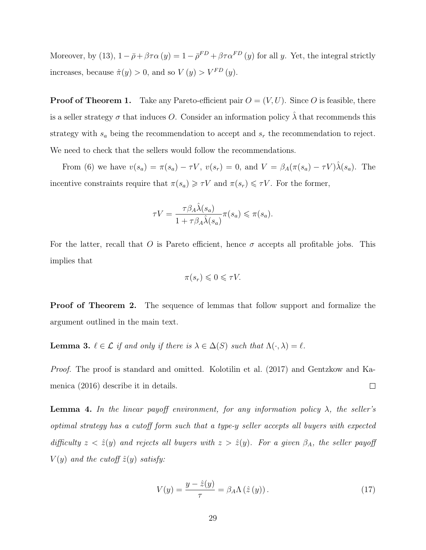Moreover, by (13),  $1-\bar{\rho}+\beta\tau\alpha(y)=1-\bar{\rho}^{FD}+\beta\tau\alpha^{FD}(y)$  for all y. Yet, the integral strictly increases, because  $\hat{\pi}(y) > 0$ , and so  $V(y) > V^{FD}(y)$ .

**Proof of Theorem 1.** Take any Pareto-efficient pair  $O = (V, U)$ . Since O is feasible, there is a seller strategy  $\sigma$  that induces O. Consider an information policy  $\hat{\lambda}$  that recommends this strategy with  $s_a$  being the recommendation to accept and  $s_r$  the recommendation to reject. We need to check that the sellers would follow the recommendations.

From (6) we have  $v(s_a) = \pi(s_a) - \tau V$ ,  $v(s_r) = 0$ , and  $V = \beta_A(\pi(s_a) - \tau V)\hat{\lambda}(s_a)$ . The incentive constraints require that  $\pi(s_a) \geq \tau V$  and  $\pi(s_r) \leq \tau V$ . For the former,

$$
\tau V = \frac{\tau \beta_A \hat{\lambda}(s_a)}{1 + \tau \beta_A \hat{\lambda}(s_a)} \pi(s_a) \leq \pi(s_a).
$$

For the latter, recall that O is Pareto efficient, hence  $\sigma$  accepts all profitable jobs. This implies that

$$
\pi(s_r) \leq 0 \leq \tau V.
$$

**Proof of Theorem 2.** The sequence of lemmas that follow support and formalize the argument outlined in the main text.

**Lemma 3.**  $\ell \in \mathcal{L}$  if and only if there is  $\lambda \in \Delta(S)$  such that  $\Lambda(\cdot, \lambda) = \ell$ .

Proof. The proof is standard and omitted. Kolotilin et al. (2017) and Gentzkow and Kamenica (2016) describe it in details.  $\Box$ 

**Lemma 4.** In the linear payoff environment, for any information policy  $\lambda$ , the seller's optimal strategy has a cutoff form such that a type-y seller accepts all buyers with expected difficulty  $z < \hat{z}(y)$  and rejects all buyers with  $z > \hat{z}(y)$ . For a given  $\beta_A$ , the seller payoff  $V(y)$  and the cutoff  $\hat{z}(y)$  satisfy:

$$
V(y) = \frac{y - \hat{z}(y)}{\tau} = \beta_A \Lambda \left(\hat{z}(y)\right). \tag{17}
$$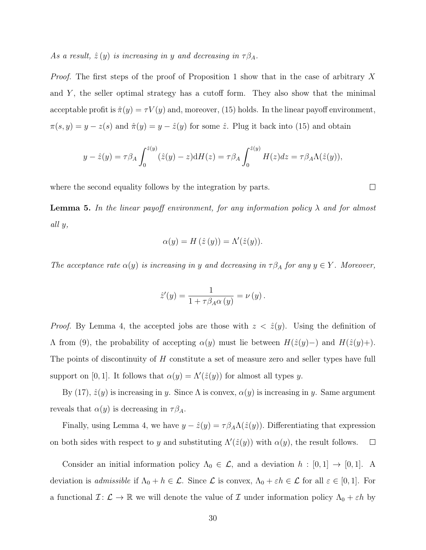As a result,  $\hat{z}(y)$  is increasing in y and decreasing in  $\tau \beta_A$ .

Proof. The first steps of the proof of Proposition 1 show that in the case of arbitrary X and  $Y$ , the seller optimal strategy has a cutoff form. They also show that the minimal acceptable profit is  $\hat{\pi}(y) = \tau V(y)$  and, moreover, (15) holds. In the linear payoff environment,  $\pi(s, y) = y - z(s)$  and  $\hat{\pi}(y) = y - \hat{z}(y)$  for some  $\hat{z}$ . Plug it back into (15) and obtain

$$
y - \hat{z}(y) = \tau \beta_A \int_0^{\hat{z}(y)} (\hat{z}(y) - z) dH(z) = \tau \beta_A \int_0^{\hat{z}(y)} H(z) dz = \tau \beta_A \Lambda(\hat{z}(y)),
$$

where the second equality follows by the integration by parts.

**Lemma 5.** In the linear payoff environment, for any information policy  $\lambda$  and for almost all y,

$$
\alpha(y) = H(\hat{z}(y)) = \Lambda'(\hat{z}(y)).
$$

The acceptance rate  $\alpha(y)$  is increasing in y and decreasing in  $\tau \beta_A$  for any  $y \in Y$ . Moreover,

$$
\hat{z}'(y) = \frac{1}{1 + \tau \beta_A \alpha(y)} = \nu(y).
$$

*Proof.* By Lemma 4, the accepted jobs are those with  $z < \hat{z}(y)$ . Using the definition of Λ from (9), the probability of accepting  $α(y)$  must lie between  $H(\hat{z}(y)$ −) and  $H(\hat{z}(y)+)$ . The points of discontinuity of H constitute a set of measure zero and seller types have full support on [0, 1]. It follows that  $\alpha(y) = \Lambda'(\hat{z}(y))$  for almost all types y.

By  $(17), \hat{z}(y)$  is increasing in y. Since  $\Lambda$  is convex,  $\alpha(y)$  is increasing in y. Same argument reveals that  $\alpha(y)$  is decreasing in  $\tau\beta_A$ .

Finally, using Lemma 4, we have  $y - \hat{z}(y) = \tau \beta_A \Lambda(\hat{z}(y))$ . Differentiating that expression on both sides with respect to y and substituting  $\Lambda'(\hat{z}(y))$  with  $\alpha(y)$ , the result follows.  $\Box$ 

Consider an initial information policy  $\Lambda_0 \in \mathcal{L}$ , and a deviation  $h : [0,1] \to [0,1]$ . A deviation is *admissible* if  $\Lambda_0 + h \in \mathcal{L}$ . Since  $\mathcal{L}$  is convex,  $\Lambda_0 + \varepsilon h \in \mathcal{L}$  for all  $\varepsilon \in [0, 1]$ . For a functional  $\mathcal{I} : \mathcal{L} \to \mathbb{R}$  we will denote the value of  $\mathcal{I}$  under information policy  $\Lambda_0 + \varepsilon h$  by

 $\Box$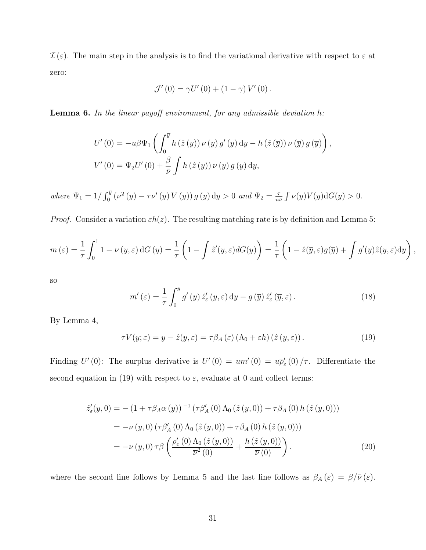$\mathcal{I}(\varepsilon)$ . The main step in the analysis is to find the variational derivative with respect to  $\varepsilon$  at zero:

$$
\mathcal{J}'(0) = \gamma U'(0) + (1 - \gamma) V'(0).
$$

**Lemma 6.** In the linear payoff environment, for any admissible deviation  $h$ :

$$
U'(0) = -u\beta\Psi_1\left(\int_0^{\overline{y}} h(\hat{z}(y)) \nu(y) g'(y) dy - h(\hat{z}(\overline{y})) \nu(\overline{y}) g(\overline{y})\right),
$$
  

$$
V'(0) = \Psi_2 U'(0) + \frac{\beta}{\overline{\nu}} \int h(\hat{z}(y)) \nu(y) g(y) dy,
$$

where  $\Psi_1 = 1/\int_0^{\overline{y}} (\nu^2(y) - \tau \nu'(y) V(y)) g(y) dy > 0$  and  $\Psi_2 = \frac{\tau}{u^2}$  $\frac{\tau}{u\bar{\nu}}\int \nu(y)V(y)\mathrm{d}G(y) > 0.$ 

*Proof.* Consider a variation  $\varepsilon h(z)$ . The resulting matching rate is by definition and Lemma 5:

$$
m(\varepsilon) = \frac{1}{\tau} \int_0^1 1 - \nu(y, \varepsilon) dG(y) = \frac{1}{\tau} \left( 1 - \int \hat{z}'(y, \varepsilon) dG(y) \right) = \frac{1}{\tau} \left( 1 - \hat{z}(\overline{y}, \varepsilon)g(\overline{y}) + \int g'(y)\hat{z}(y, \varepsilon) dy \right)
$$

so

$$
m'(\varepsilon) = \frac{1}{\tau} \int_0^{\overline{y}} g'(y) \,\hat{z}'_{\varepsilon}(y,\varepsilon) \,dy - g(\overline{y}) \,\hat{z}'_{\varepsilon}(\overline{y},\varepsilon).
$$
 (18)

,

By Lemma 4,

$$
\tau V(y; \varepsilon) = y - \hat{z}(y, \varepsilon) = \tau \beta_A(\varepsilon) (\Lambda_0 + \varepsilon h) (\hat{z}(y, \varepsilon)). \tag{19}
$$

Finding U'(0): The surplus derivative is  $U'(0) = um'(0) = u\overline{\rho}_s'$  $\int_{\varepsilon}^{'}(0)/\tau$ . Differentiate the second equation in (19) with respect to  $\varepsilon$ , evaluate at 0 and collect terms:

$$
\hat{z}'_{\varepsilon}(y,0) = -(1 + \tau \beta_A \alpha(y))^{-1} (\tau \beta'_A(0) \Lambda_0(\hat{z}(y,0)) + \tau \beta_A(0) h(\hat{z}(y,0)))
$$
  
= 
$$
-\nu(y,0) (\tau \beta'_A(0) \Lambda_0(\hat{z}(y,0)) + \tau \beta_A(0) h(\hat{z}(y,0)))
$$
  
= 
$$
-\nu(y,0) \tau \beta \left( \frac{\overline{\rho}'_{\varepsilon}(0) \Lambda_0(\hat{z}(y,0))}{\overline{\nu}^2(0)} + \frac{h(\hat{z}(y,0))}{\overline{\nu}(0)} \right).
$$
 (20)

where the second line follows by Lemma 5 and the last line follows as  $\beta_A(\varepsilon) = \beta/\bar{\nu}(\varepsilon)$ .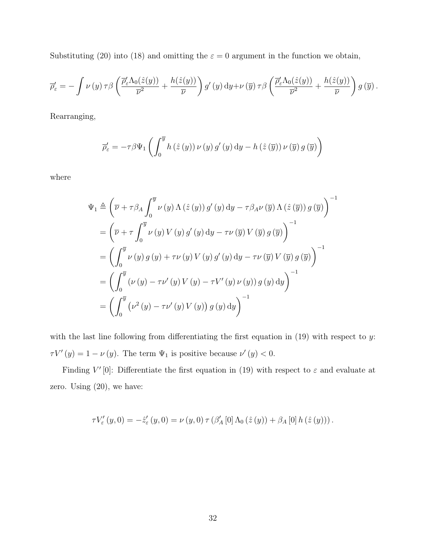Substituting (20) into (18) and omitting the  $\varepsilon = 0$  argument in the function we obtain,

$$
\overline{\rho}'_{\varepsilon} = -\int \nu(y) \,\tau \beta\left(\frac{\overline{\rho}'_{\varepsilon} \Lambda_0(\hat{z}(y))}{\overline{\nu}^2} + \frac{h(\hat{z}(y))}{\overline{\nu}}\right) g'(y) \, \mathrm{d}y + \nu(\overline{y}) \,\tau \beta\left(\frac{\overline{\rho}'_{\varepsilon} \Lambda_0(\hat{z}(y))}{\overline{\nu}^2} + \frac{h(\hat{z}(y))}{\overline{\nu}}\right) g(\overline{y}).
$$

Rearranging,

$$
\overline{\rho}_{\varepsilon}' = -\tau \beta \Psi_{1} \left( \int_{0}^{\overline{y}} h(\hat{z}(y)) \nu(y) g'(y) dy - h(\hat{z}(\overline{y})) \nu(\overline{y}) g(\overline{y}) \right)
$$

where

$$
\Psi_1 \triangleq \left(\overline{\nu} + \tau \beta_A \int_0^{\overline{y}} \nu(y) \Lambda(\hat{z}(y)) g'(y) dy - \tau \beta_A \nu(\overline{y}) \Lambda(\hat{z}(\overline{y})) g(\overline{y})\right)^{-1}
$$
  
\n
$$
= \left(\overline{\nu} + \tau \int_0^{\overline{y}} \nu(y) V(y) g'(y) dy - \tau \nu(\overline{y}) V(\overline{y}) g(\overline{y})\right)^{-1}
$$
  
\n
$$
= \left(\int_0^{\overline{y}} \nu(y) g(y) + \tau \nu(y) V(y) g'(y) dy - \tau \nu(\overline{y}) V(\overline{y}) g(\overline{y})\right)^{-1}
$$
  
\n
$$
= \left(\int_0^{\overline{y}} (\nu(y) - \tau \nu'(y) V(y) - \tau V'(y) \nu(y)) g(y) dy\right)^{-1}
$$
  
\n
$$
= \left(\int_0^{\overline{y}} (\nu^2(y) - \tau \nu'(y) V(y)) g(y) dy\right)^{-1}
$$

with the last line following from differentiating the first equation in  $(19)$  with respect to y:  $\tau V'(y) = 1 - \nu(y)$ . The term  $\Psi_1$  is positive because  $\nu'(y) < 0$ .

Finding  $V'[0]$ : Differentiate the first equation in (19) with respect to  $\varepsilon$  and evaluate at zero. Using (20), we have:

$$
\tau V_{\varepsilon}'\left(y,0\right)=-\hat{z}_{\varepsilon}'\left(y,0\right)=\nu\left(y,0\right)\tau\left(\beta_{A}'\left[0\right]\Lambda_{0}\left(\hat{z}\left(y\right)\right)+\beta_{A}\left[0\right]h\left(\hat{z}\left(y\right)\right)\right).
$$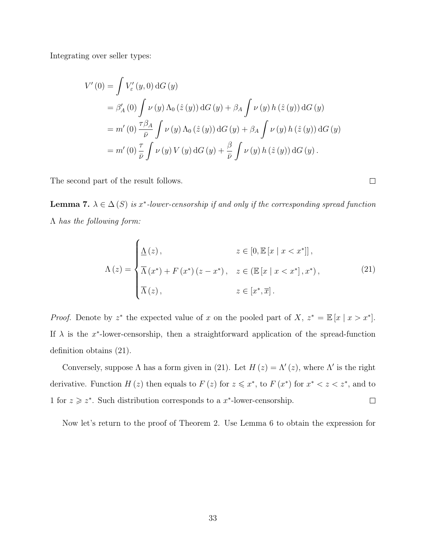Integrating over seller types:

$$
V'(0) = \int V'_{\varepsilon}(y,0) dG(y)
$$
  
=  $\beta'_{A}(0) \int \nu(y) \Lambda_{0}(\hat{z}(y)) dG(y) + \beta_{A} \int \nu(y) h(\hat{z}(y)) dG(y)$   
=  $m'(0) \frac{\tau \beta_{A}}{\bar{\nu}} \int \nu(y) \Lambda_{0}(\hat{z}(y)) dG(y) + \beta_{A} \int \nu(y) h(\hat{z}(y)) dG(y)$   
=  $m'(0) \frac{\tau}{\bar{\nu}} \int \nu(y) V(y) dG(y) + \frac{\beta}{\bar{\nu}} \int \nu(y) h(\hat{z}(y)) dG(y).$ 

The second part of the result follows.

**Lemma 7.**  $\lambda \in \Delta(S)$  is x<sup>\*</sup>-lower-censorship if and only if the corresponding spread function Λ has the following form:

$$
\Lambda(z) = \begin{cases}\n\Delta(z), & z \in [0, \mathbb{E}[x \mid x < x^*]], \\
\overline{\Lambda}(x^*) + F(x^*)(z - x^*), & z \in (\mathbb{E}[x \mid x < x^*], x^*), \\
\overline{\Lambda}(z), & z \in [x^*, \overline{x}].\n\end{cases}
$$
\n(21)

*Proof.* Denote by  $z^*$  the expected value of x on the pooled part of X,  $z^* = \mathbb{E}[x \mid x > x^*].$ If  $\lambda$  is the x<sup>\*</sup>-lower-censorship, then a straightforward application of the spread-function definition obtains (21).

Conversely, suppose  $\Lambda$  has a form given in (21). Let  $H(z) = \Lambda'(z)$ , where  $\Lambda'$  is the right derivative. Function  $H(z)$  then equals to  $F(z)$  for  $z \leqslant x^*$ , to  $F(x^*)$  for  $x^* < z < z^*$ , and to 1 for  $z \geq z^*$ . Such distribution corresponds to a  $x^*$ -lower-censorship.  $\Box$ 

Now let's return to the proof of Theorem 2. Use Lemma 6 to obtain the expression for

 $\Box$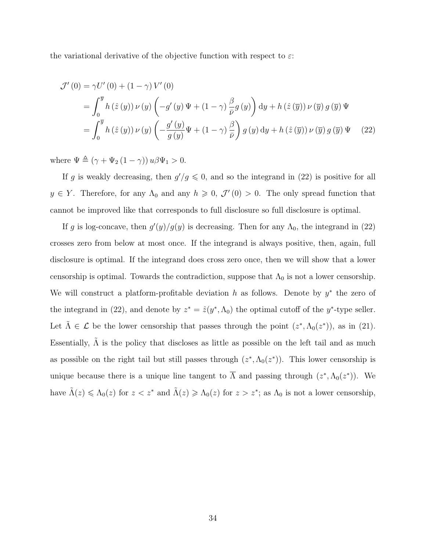the variational derivative of the objective function with respect to  $\varepsilon$ :

$$
\mathcal{J}'(0) = \gamma U'(0) + (1 - \gamma) V'(0)
$$
  
= 
$$
\int_0^{\overline{y}} h(\hat{z}(y)) \nu(y) \left( -g'(y) \Psi + (1 - \gamma) \frac{\beta}{\overline{\nu}} g(y) \right) dy + h(\hat{z}(\overline{y})) \nu(\overline{y}) g(\overline{y}) \Psi
$$
  
= 
$$
\int_0^{\overline{y}} h(\hat{z}(y)) \nu(y) \left( -\frac{g'(y)}{g(y)} \Psi + (1 - \gamma) \frac{\beta}{\overline{\nu}} \right) g(y) dy + h(\hat{z}(\overline{y})) \nu(\overline{y}) g(\overline{y}) \Psi
$$
 (22)

where  $\Psi \triangleq (\gamma + \Psi_2 \left(1 - \gamma\right)) u\beta \Psi_1 > 0.$ 

If g is weakly decreasing, then  $g'/g \leq 0$ , and so the integrand in (22) is positive for all  $y \in Y$ . Therefore, for any  $\Lambda_0$  and any  $h \geq 0$ ,  $\mathcal{J}'(0) > 0$ . The only spread function that cannot be improved like that corresponds to full disclosure so full disclosure is optimal.

If g is log-concave, then  $g'(y)/g(y)$  is decreasing. Then for any  $\Lambda_0$ , the integrand in (22) crosses zero from below at most once. If the integrand is always positive, then, again, full disclosure is optimal. If the integrand does cross zero once, then we will show that a lower censorship is optimal. Towards the contradiction, suppose that  $\Lambda_0$  is not a lower censorship. We will construct a platform-profitable deviation h as follows. Denote by  $y^*$  the zero of the integrand in (22), and denote by  $z^* = \hat{z}(y^*, \Lambda_0)$  the optimal cutoff of the  $y^*$ -type seller. Let  $\tilde{\Lambda} \in \mathcal{L}$  be the lower censorship that passes through the point  $(z^*, \Lambda_0(z^*))$ , as in (21). Essentially,  $\Lambda$  is the policy that discloses as little as possible on the left tail and as much as possible on the right tail but still passes through  $(z^*, \Lambda_0(z^*))$ . This lower censorship is unique because there is a unique line tangent to  $\overline{\Lambda}$  and passing through  $(z^*, \Lambda_0(z^*))$ . We have  $\tilde{\Lambda}(z) \leq \Lambda_0(z)$  for  $z < z^*$  and  $\tilde{\Lambda}(z) \geq \Lambda_0(z)$  for  $z > z^*$ ; as  $\Lambda_0$  is not a lower censorship,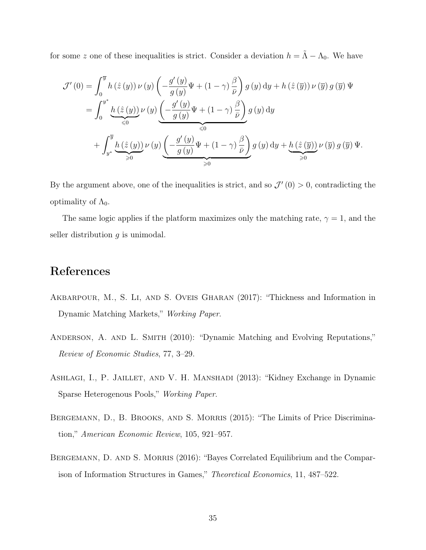for some z one of these inequalities is strict. Consider a deviation  $h = \tilde{\Lambda} - \Lambda_0$ . We have

$$
\mathcal{J}'(0) = \int_0^{\overline{y}} h(\hat{z}(y)) \nu(y) \left( -\frac{g'(y)}{g(y)} \Psi + (1 - \gamma) \frac{\beta}{\overline{\nu}} \right) g(y) dy + h(\hat{z}(\overline{y})) \nu(\overline{y}) g(\overline{y}) \Psi \n= \int_0^{y^*} \underbrace{h(\hat{z}(y))}_{\leq 0} \nu(y) \underbrace{\left( -\frac{g'(y)}{g(y)} \Psi + (1 - \gamma) \frac{\beta}{\overline{\nu}} \right)}_{\leq 0} g(y) dy \n+ \int_{y^*}^{\overline{y}} \underbrace{h(\hat{z}(y))}_{\geq 0} \nu(y) \underbrace{\left( -\frac{g'(y)}{g(y)} \Psi + (1 - \gamma) \frac{\beta}{\overline{\nu}} \right)}_{\geq 0} g(y) dy + \underbrace{h(\hat{z}(\overline{y}))}_{\geq 0} \nu(\overline{y}) g(\overline{y}) \Psi.
$$

By the argument above, one of the inequalities is strict, and so  $\mathcal{J}'(0) > 0$ , contradicting the optimality of  $\Lambda_0$ .

The same logic applies if the platform maximizes only the matching rate,  $\gamma = 1$ , and the seller distribution  $g$  is unimodal.

## References

- Akbarpour, M., S. Li, and S. Oveis Gharan (2017): "Thickness and Information in Dynamic Matching Markets," Working Paper.
- Anderson, A. and L. Smith (2010): "Dynamic Matching and Evolving Reputations," Review of Economic Studies, 77, 3–29.
- ASHLAGI, I., P. JAILLET, AND V. H. MANSHADI (2013): "Kidney Exchange in Dynamic Sparse Heterogenous Pools," Working Paper.
- BERGEMANN, D., B. BROOKS, AND S. MORRIS (2015): "The Limits of Price Discrimination," American Economic Review, 105, 921–957.
- BERGEMANN, D. AND S. MORRIS (2016): "Bayes Correlated Equilibrium and the Comparison of Information Structures in Games," Theoretical Economics, 11, 487–522.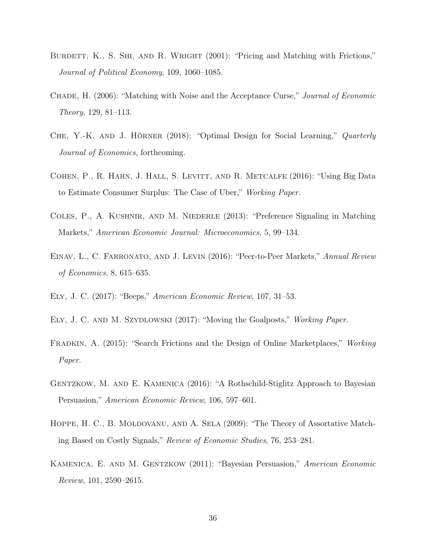- BURDETT, K., S. SHI, AND R. WRIGHT (2001): "Pricing and Matching with Frictions," Journal of Political Economy, 109, 1060–1085.
- CHADE, H. (2006): "Matching with Noise and the Acceptance Curse," *Journal of Economic* Theory, 129, 81–113.
- Che, Y.-K. and J. Hörner (2018): "Optimal Design for Social Learning," Quarterly Journal of Economics, forthcoming.
- COHEN, P., R. HAHN, J. HALL, S. LEVITT, AND R. METCALFE (2016): "Using Big Data to Estimate Consumer Surplus: The Case of Uber," Working Paper.
- Coles, P., A. Kushnir, and M. Niederle (2013): "Preference Signaling in Matching Markets," American Economic Journal: Microeconomics, 5, 99–134.
- Einav, L., C. Farronato, and J. Levin (2016): "Peer-to-Peer Markets," Annual Review of Economics, 8, 615–635.
- Ely, J. C. (2017): "Beeps," American Economic Review, 107, 31–53.
- Ely, J. C. and M. Szydlowski (2017): "Moving the Goalposts," Working Paper.
- FRADKIN, A. (2015): "Search Frictions and the Design of Online Marketplaces," Working Paper.
- GENTZKOW, M. AND E. KAMENICA (2016): "A Rothschild-Stiglitz Approach to Bayesian Persuasion," American Economic Review, 106, 597–601.
- HOPPE, H. C., B. MOLDOVANU, AND A. SELA (2009): "The Theory of Assortative Matching Based on Costly Signals," Review of Economic Studies, 76, 253–281.
- Kamenica, E. and M. Gentzkow (2011): "Bayesian Persuasion," American Economic Review, 101, 2590–2615.